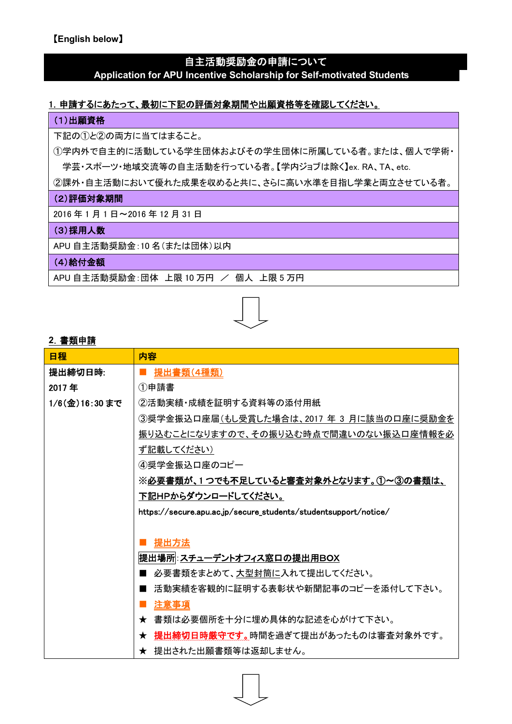# 自主活動奨励金の申請について

#### **Application for APU Incentive Scholarship for Self-motivated Students**

## 1. 申請するにあたって、最初に下記の評価対象期間や出願資格等を確認してください。

#### (1)出願資格

下記の①と②の両方に当てはまること。

①学内外で自主的に活動している学生団体およびその学生団体に所属している者。または、個人で学術・ 学芸・スポーツ・地域交流等の自主活動を行っている者。【学内ジョブは除く】ex. RA、TA、etc.

②課外・自主活動において優れた成果を収めると共に、さらに高い水準を目指し学業と両立させている者。

#### (2)評価対象期間

2016 年 1 月 1 日~2016 年 12 月 31 日

#### (3) 採用人数

APU 自主活動奨励金:10 名(または団体)以内

#### (4)給付金額

APU 自主活動奨励金:団体 上限 10 万円 / 個人 上限 5 万円



#### **2**.書類申請

| 日程            | 内容                                                              |
|---------------|-----------------------------------------------------------------|
| 提出締切日時:       | 提出書類(4種類)                                                       |
| 2017年         | ①申請書                                                            |
| 1/6(金)16:30まで | ②活動実績・成績を証明する資料等の添付用紙                                           |
|               | ③奨学金振込口座届(もし受賞した場合は、2017 年 3 月に該当の口座に奨励金を                       |
|               | 振り込むことになりますので、その振り込む時点で間違いのない振込口座情報を必                           |
|               | ず記載してください)                                                      |
|               | 4)奨学金振込口座のコピー                                                   |
|               | ※必要書類が、1 つでも不足していると審査対象外となります。①~③の書類は、                          |
|               | 下記HPからダウンロードしてください。                                             |
|               | https://secure.apu.ac.jp/secure_students/studentsupport/notice/ |
|               |                                                                 |
|               | 提出方法                                                            |
|               | 提出場所 :スチューデントオフィス窓口の提出用BOX                                      |
|               | 必要書類をまとめて、大型封筒に入れて提出してください。                                     |
|               | 活動実績を客観的に証明する表彰状や新聞記事のコピーを添付して下さい。                              |
|               | 注意事項                                                            |
|               | ★ 書類は必要個所を十分に埋め具体的な記述を心がけて下さい。                                  |
|               | ★ 提出締切日時厳守です。時間を過ぎて提出があったものは審査対象外です。                            |
|               | ★ 提出された出願書類等は返却しません。                                            |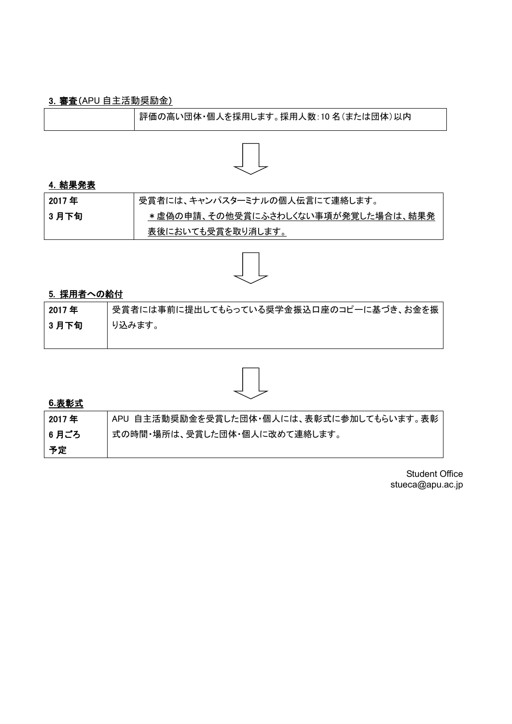# 3.審査(APU 自主活動奨励金)

| 評価の高い団体・個人を採用します。採用人数:10名(または団体)以内 |
|------------------------------------|
|------------------------------------|



#### 4.結果発表

| 2017 年 | ' 受賞者には、キャンパスターミナルの個人伝言にて連絡します。    |
|--------|------------------------------------|
| 3月下旬   | *虚偽の申請、その他受賞にふさわしくない事項が発覚した場合は、結果発 |
|        | 表後においても受賞を取り消します。                  |



# 5. 採用者への給付

| Ⅰ 2017 年 | 受賞者には事前に提出してもらっている奨学金振込口座のコピーに基づき、お金を振 |
|----------|----------------------------------------|
| 3月下旬     | り込みます。                                 |
|          |                                        |



## **6.**表彰式

| 2017 年  | APU 自主活動奨励金を受賞した団体・個人には、表彰式に参加してもらいます。表彰 |
|---------|------------------------------------------|
| │ 6 月ごろ | 式の時間・場所は、受賞した団体・個人に改めて連絡します。             |
| 予定      |                                          |

Student Office stueca@apu.ac.jp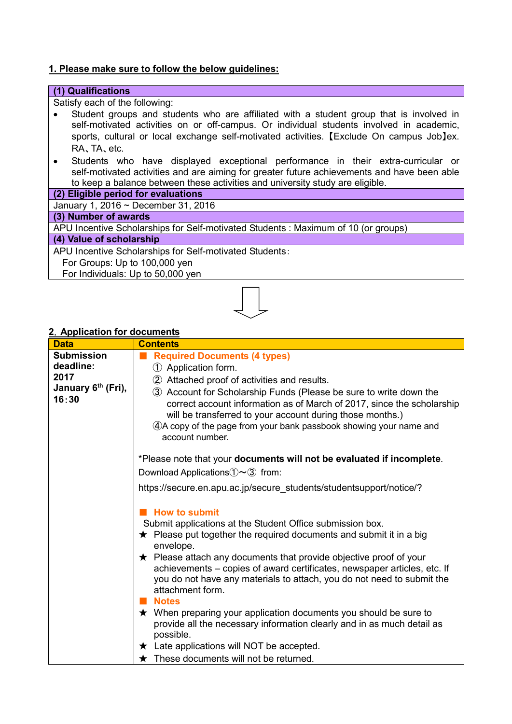# **1. Please make sure to follow the below guidelines:**

| (1) Qualifications                                                                          |
|---------------------------------------------------------------------------------------------|
| Satisfy each of the following:                                                              |
| Student groups and students who are affiliated with a student group that is involved in     |
| self-motivated activities on or off-campus. Or individual students involved in academic,    |
| sports, cultural or local exchange self-motivated activities. [Exclude On campus Job]ex.    |
| RA, TA, etc.                                                                                |
| Students who have displayed exceptional performance in their extra-curricular or<br>٠       |
| self-motivated activities and are aiming for greater future achievements and have been able |
| to keep a balance between these activities and university study are eligible.               |
| (2) Eligible period for evaluations                                                         |
| January 1, 2016 $\sim$ December 31, 2016                                                    |
| (3) Number of awards                                                                        |
| APU Incentive Scholarships for Self-motivated Students: Maximum of 10 (or groups)           |
| (4) Value of scholarship                                                                    |
| APU Incentive Scholarships for Self-motivated Students:                                     |
| For Groups: Up to 100,000 yen                                                               |
| For Individuals: Up to 50,000 yen                                                           |
|                                                                                             |

## **2**.**Application for documents**

| <b>Data</b>                                                           | <b>Contents</b>                                                                                                                                                                                                                                                                                                                                                                                                                                                                                                                               |
|-----------------------------------------------------------------------|-----------------------------------------------------------------------------------------------------------------------------------------------------------------------------------------------------------------------------------------------------------------------------------------------------------------------------------------------------------------------------------------------------------------------------------------------------------------------------------------------------------------------------------------------|
| <b>Submission</b><br>deadline:<br>2017<br>January 6th (Fri),<br>16:30 | <b>Required Documents (4 types)</b><br>$\circled{1}$ Application form.<br>2 Attached proof of activities and results.<br>3 Account for Scholarship Funds (Please be sure to write down the<br>correct account information as of March of 2017, since the scholarship<br>will be transferred to your account during those months.)<br>4A copy of the page from your bank passbook showing your name and<br>account number.                                                                                                                     |
|                                                                       | *Please note that your documents will not be evaluated if incomplete.<br>Download Applications $\mathbb{O}\sim\mathbb{O}$ from:<br>https://secure.en.apu.ac.jp/secure_students/studentsupport/notice/?<br><b>How to submit</b><br>Submit applications at the Student Office submission box.<br>$\star$ Please put together the required documents and submit it in a big<br>envelope.<br>$\star$ Please attach any documents that provide objective proof of your<br>achievements – copies of award certificates, newspaper articles, etc. If |
|                                                                       | you do not have any materials to attach, you do not need to submit the<br>attachment form.<br><b>Notes</b><br>$\star$ When preparing your application documents you should be sure to<br>provide all the necessary information clearly and in as much detail as<br>possible.<br>$\star$ Late applications will NOT be accepted.<br>$\star$ These documents will not be returned.                                                                                                                                                              |